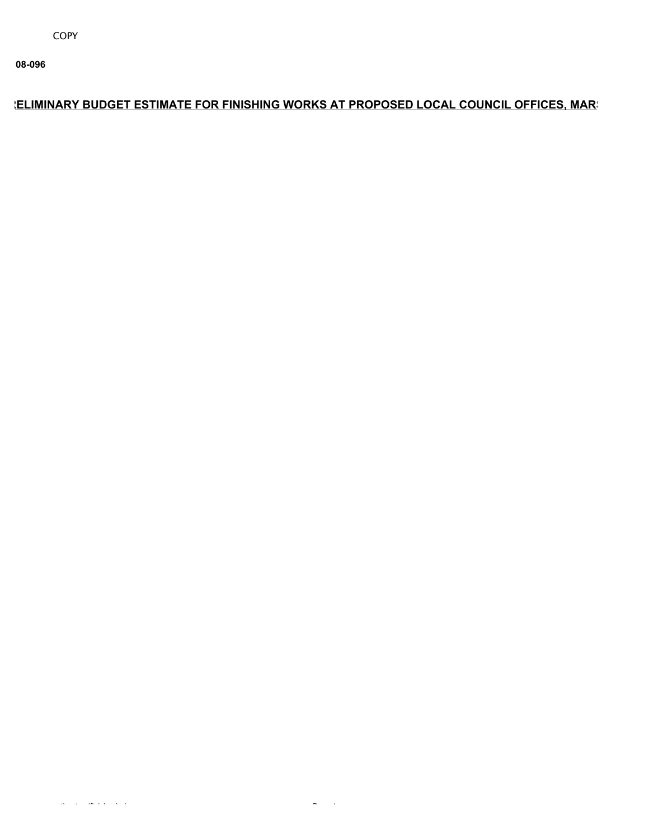**08-096**

## **ELIMINARY BUDGET ESTIMATE FOR FINISHING WORKS AT PROPOSED LOCAL COUNCIL OFFICES, MARS**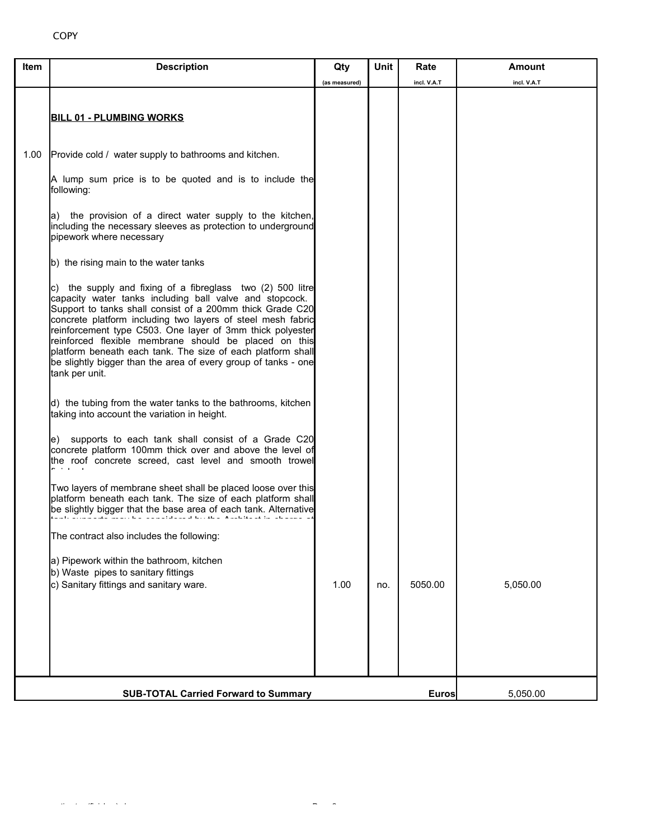| Item | <b>Description</b>                                                                                                                                                                                                                                                                                                                                                                                                                                                                                                         | Qty           | Unit     | Rate        | Amount      |
|------|----------------------------------------------------------------------------------------------------------------------------------------------------------------------------------------------------------------------------------------------------------------------------------------------------------------------------------------------------------------------------------------------------------------------------------------------------------------------------------------------------------------------------|---------------|----------|-------------|-------------|
|      |                                                                                                                                                                                                                                                                                                                                                                                                                                                                                                                            | (as measured) |          | incl. V.A.T | incl. V.A.T |
|      | <b>BILL 01 - PLUMBING WORKS</b>                                                                                                                                                                                                                                                                                                                                                                                                                                                                                            |               |          |             |             |
| 1.00 | Provide cold / water supply to bathrooms and kitchen.                                                                                                                                                                                                                                                                                                                                                                                                                                                                      |               |          |             |             |
|      | A lump sum price is to be quoted and is to include the<br>following:                                                                                                                                                                                                                                                                                                                                                                                                                                                       |               |          |             |             |
|      | a) the provision of a direct water supply to the kitchen,<br>including the necessary sleeves as protection to underground<br>pipework where necessary                                                                                                                                                                                                                                                                                                                                                                      |               |          |             |             |
|      | b) the rising main to the water tanks                                                                                                                                                                                                                                                                                                                                                                                                                                                                                      |               |          |             |             |
|      | c) the supply and fixing of a fibreglass two (2) 500 litre<br>capacity water tanks including ball valve and stopcock.<br>Support to tanks shall consist of a 200mm thick Grade C20<br>concrete platform including two layers of steel mesh fabric<br>reinforcement type C503. One layer of 3mm thick polyester<br>reinforced flexible membrane should be placed on this<br>platform beneath each tank. The size of each platform shall<br>be slightly bigger than the area of every group of tanks - one<br>tank per unit. |               |          |             |             |
|      | d) the tubing from the water tanks to the bathrooms, kitchen<br>taking into account the variation in height.                                                                                                                                                                                                                                                                                                                                                                                                               |               |          |             |             |
|      | supports to each tank shall consist of a Grade C20<br>le).<br>concrete platform 100mm thick over and above the level of<br>the roof concrete screed, cast level and smooth trowel<br>المستويا والمساري                                                                                                                                                                                                                                                                                                                     |               |          |             |             |
|      | Two layers of membrane sheet shall be placed loose over this<br>platform beneath each tank. The size of each platform shall<br>be slightly bigger that the base area of each tank. Alternative<br><b>CONTRACTOR</b><br>$\sim 100$                                                                                                                                                                                                                                                                                          |               |          |             |             |
|      | The contract also includes the following:                                                                                                                                                                                                                                                                                                                                                                                                                                                                                  |               |          |             |             |
|      | a) Pipework within the bathroom, kitchen<br>b) Waste pipes to sanitary fittings<br>c) Sanitary fittings and sanitary ware.                                                                                                                                                                                                                                                                                                                                                                                                 | 1.00          | no.      | 5050.00     | 5,050.00    |
|      |                                                                                                                                                                                                                                                                                                                                                                                                                                                                                                                            |               |          |             |             |
|      | <b>SUB-TOTAL Carried Forward to Summary</b>                                                                                                                                                                                                                                                                                                                                                                                                                                                                                | <b>Euros</b>  | 5,050.00 |             |             |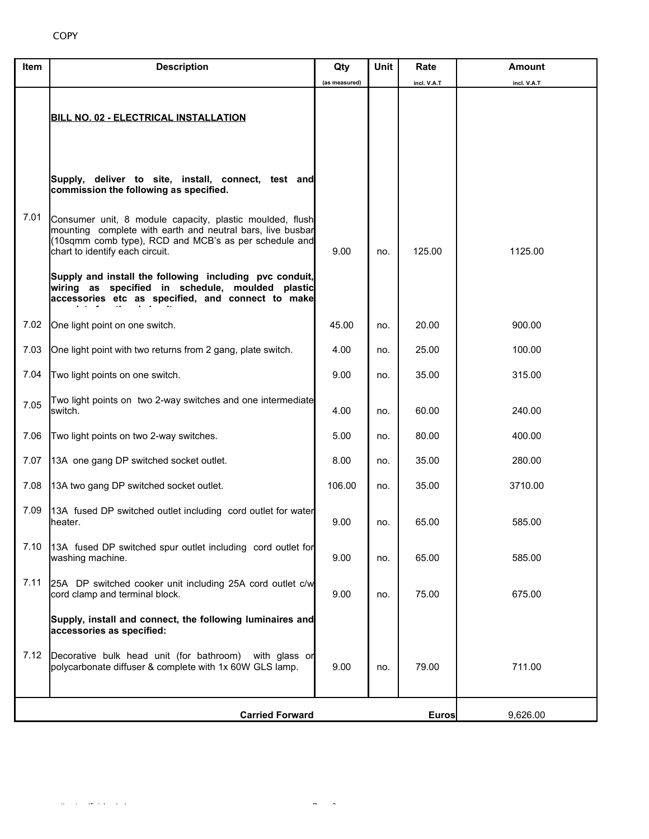| Item | <b>Description</b>                                                                                                                                                                                                 | Qty           | Unit | Rate        | Amount      |
|------|--------------------------------------------------------------------------------------------------------------------------------------------------------------------------------------------------------------------|---------------|------|-------------|-------------|
|      |                                                                                                                                                                                                                    | (as measured) |      | incl. V.A.T | incl. V.A.T |
|      |                                                                                                                                                                                                                    |               |      |             |             |
|      | <b>BILL NO. 02 - ELECTRICAL INSTALLATION</b>                                                                                                                                                                       |               |      |             |             |
|      |                                                                                                                                                                                                                    |               |      |             |             |
|      |                                                                                                                                                                                                                    |               |      |             |             |
|      | Supply, deliver to site, install, connect, test and<br>commission the following as specified.                                                                                                                      |               |      |             |             |
| 7.01 | Consumer unit, 8 module capacity, plastic moulded, flush<br>mounting complete with earth and neutral bars, live busbar<br>(10sqmm comb type), RCD and MCB's as per schedule and<br>chart to identify each circuit. | 9.00          | no.  | 125.00      | 1125.00     |
|      | Supply and install the following including pvc conduit,<br>wiring as specified in schedule, moulded plastic<br>accessories etc as specified, and connect to make                                                   |               |      |             |             |
| 7.02 | One light point on one switch.                                                                                                                                                                                     | 45.00         | no.  | 20.00       | 900.00      |
| 7.03 | One light point with two returns from 2 gang, plate switch.                                                                                                                                                        | 4.00          | no.  | 25.00       | 100.00      |
| 7.04 | Two light points on one switch.                                                                                                                                                                                    | 9.00          | no.  | 35.00       | 315.00      |
| 7.05 | Two light points on two 2-way switches and one intermediate<br>switch.                                                                                                                                             | 4.00          | no.  | 60.00       | 240.00      |
| 7.06 | Two light points on two 2-way switches.                                                                                                                                                                            | 5.00          | no.  | 80.00       | 400.00      |
| 7.07 | 13A one gang DP switched socket outlet.                                                                                                                                                                            | 8.00          | no.  | 35.00       | 280.00      |
| 7.08 | 13A two gang DP switched socket outlet.                                                                                                                                                                            | 106.00        | no.  | 35.00       | 3710.00     |
| 7.09 | 13A fused DP switched outlet including cord outlet for water<br>lheater.                                                                                                                                           | 9.00          | no.  | 65.00       | 585.00      |
| 7.10 | 13A fused DP switched spur outlet including cord outlet for<br>washing machine.                                                                                                                                    | 9.00          | no.  | 65.00       | 585.00      |
| 7.11 | 25A DP switched cooker unit including 25A cord outlet c/w<br>cord clamp and terminal block.                                                                                                                        | 9.00          | no.  | 75.00       | 675.00      |
|      | Supply, install and connect, the following luminaires and<br>accessories as specified:                                                                                                                             |               |      |             |             |
| 7.12 | Decorative bulk head unit (for bathroom)<br>with glass or<br>polycarbonate diffuser & complete with 1x 60W GLS lamp.                                                                                               | 9.00          | no.  | 79.00       | 711.00      |
|      | <b>Carried Forward</b>                                                                                                                                                                                             | 9,626.00      |      |             |             |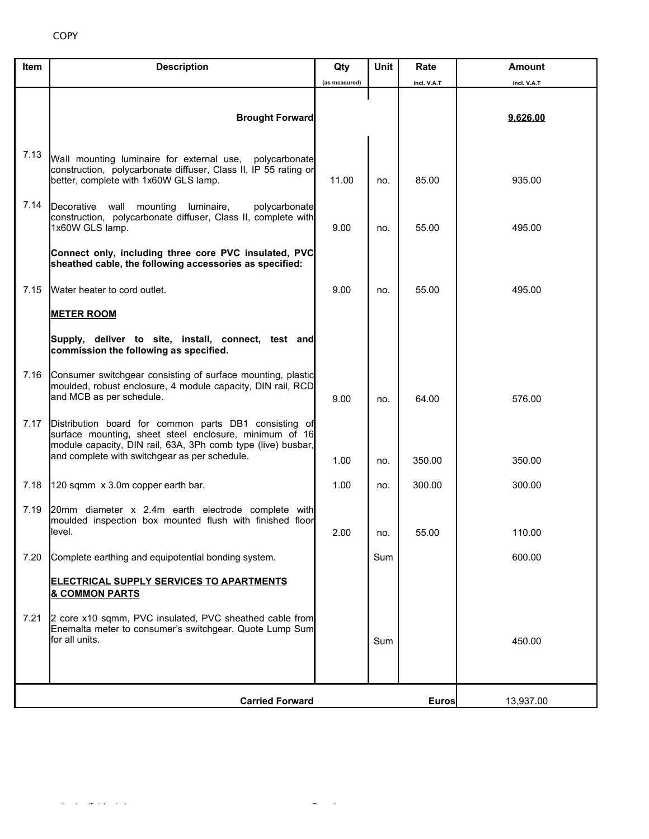| Item | <b>Description</b>                                                                                                                                                                                                               | Qty                | <b>Unit</b> | Rate        | <b>Amount</b> |
|------|----------------------------------------------------------------------------------------------------------------------------------------------------------------------------------------------------------------------------------|--------------------|-------------|-------------|---------------|
|      |                                                                                                                                                                                                                                  | (as measured)      |             | incl. V.A.T | incl. V.A.T   |
|      | <b>Brought Forward</b>                                                                                                                                                                                                           |                    |             |             | 9,626.00      |
| 7.13 | Wall mounting luminaire for external use,<br>polycarbonate<br>construction, polycarbonate diffuser, Class II, IP 55 rating or<br>better, complete with 1x60W GLS lamp.                                                           | 11.00              | no.         | 85.00       | 935.00        |
| 7.14 | Decorative wall mounting luminaire,<br>polycarbonate<br>construction, polycarbonate diffuser, Class II, complete with<br>1x60W GLS lamp.                                                                                         | 9.00               | no.         | 55.00       | 495.00        |
|      | Connect only, including three core PVC insulated, PVC<br>sheathed cable, the following accessories as specified:                                                                                                                 |                    |             |             |               |
| 7.15 | Water heater to cord outlet.                                                                                                                                                                                                     | 9.00               | no.         | 55.00       | 495.00        |
|      | <b>METER ROOM</b>                                                                                                                                                                                                                |                    |             |             |               |
|      | Supply, deliver to site, install, connect, test and<br>commission the following as specified.                                                                                                                                    |                    |             |             |               |
| 7.16 | Consumer switchgear consisting of surface mounting, plastic<br>moulded, robust enclosure, 4 module capacity, DIN rail, RCD<br>and MCB as per schedule.                                                                           | 9.00               | no.         | 64.00       | 576.00        |
| 7.17 | Distribution board for common parts DB1 consisting of<br>surface mounting, sheet steel enclosure, minimum of 16<br>module capacity, DIN rail, 63A, 3Ph comb type (live) busbar,<br>and complete with switchgear as per schedule. |                    |             |             |               |
|      |                                                                                                                                                                                                                                  | 1.00               | no.         | 350.00      | 350.00        |
| 7.18 | 120 sqmm x 3.0m copper earth bar.                                                                                                                                                                                                | 1.00               | no.         | 300.00      | 300.00        |
| 7.19 | 20mm diameter x 2.4m earth electrode complete with<br>moulded inspection box mounted flush with finished floor<br>level.                                                                                                         | 2.00               | no.         | 55.00       | 110.00        |
| 7.20 | Complete earthing and equipotential bonding system.                                                                                                                                                                              |                    | Sum         |             | 600.00        |
|      | <b>ELECTRICAL SUPPLY SERVICES TO APARTMENTS</b><br><b>&amp; COMMON PARTS</b>                                                                                                                                                     |                    |             |             |               |
| 7.21 | 2 core x10 sqmm, PVC insulated, PVC sheathed cable from<br>Enemalta meter to consumer's switchgear. Quote Lump Sum<br>for all units.                                                                                             |                    | Sum         |             | 450.00        |
|      | <b>Carried Forward</b>                                                                                                                                                                                                           | Euros<br>13,937.00 |             |             |               |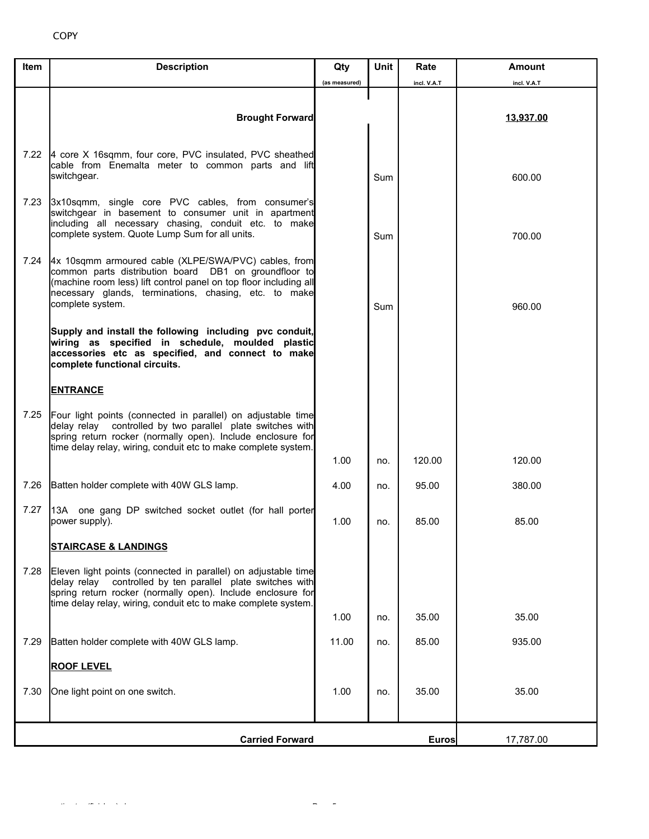| Item | <b>Description</b>                                                                                                                                                                                                                                               | Qty           | Unit | Rate        | <b>Amount</b> |
|------|------------------------------------------------------------------------------------------------------------------------------------------------------------------------------------------------------------------------------------------------------------------|---------------|------|-------------|---------------|
|      |                                                                                                                                                                                                                                                                  | (as measured) |      | incl. V.A.T | incl. V.A.T   |
|      | <b>Brought Forward</b>                                                                                                                                                                                                                                           |               |      |             | 13,937.00     |
| 7.22 | 4 core X 16sqmm, four core, PVC insulated, PVC sheathed<br>cable from Enemalta meter to common parts and lift<br>switchgear.                                                                                                                                     |               | Sum  |             | 600.00        |
| 7.23 | 3x10sqmm, single core PVC cables, from consumer's<br>switchgear in basement to consumer unit in apartment<br>including all necessary chasing, conduit etc. to make<br>complete system. Quote Lump Sum for all units.                                             |               | Sum  |             | 700.00        |
| 7.24 | 4x 10sqmm armoured cable (XLPE/SWA/PVC) cables, from<br>common parts distribution board DB1 on groundfloor to<br>(machine room less) lift control panel on top floor including all<br>necessary glands, terminations, chasing, etc. to make<br>complete system.  |               | Sum  |             | 960.00        |
|      | Supply and install the following including pvc conduit,<br>wiring as specified in schedule, moulded plastic<br>accessories etc as specified, and connect to make<br>complete functional circuits.                                                                |               |      |             |               |
|      | <b>ENTRANCE</b>                                                                                                                                                                                                                                                  |               |      |             |               |
| 7.25 | Four light points (connected in parallel) on adjustable time<br>controlled by two parallel plate switches with<br>delav relav<br>spring return rocker (normally open). Include enclosure for<br>time delay relay, wiring, conduit etc to make complete system.   |               |      |             |               |
|      |                                                                                                                                                                                                                                                                  | 1.00          | no.  | 120.00      | 120.00        |
| 7.26 | Batten holder complete with 40W GLS lamp.                                                                                                                                                                                                                        | 4.00          | no.  | 95.00       | 380.00        |
| 7.27 | 13A one gang DP switched socket outlet (for hall porter<br>power supply).                                                                                                                                                                                        | 1.00          | no.  | 85.00       | 85.00         |
|      | <u>STAIRCASE &amp; LANDINGS</u>                                                                                                                                                                                                                                  |               |      |             |               |
| 7.28 | Eleven light points (connected in parallel) on adjustable time<br>controlled by ten parallel plate switches with<br>delay relay<br>spring return rocker (normally open). Include enclosure for<br>time delay relay, wiring, conduit etc to make complete system. |               |      |             |               |
|      |                                                                                                                                                                                                                                                                  | 1.00          | no.  | 35.00       | 35.00         |
| 7.29 | Batten holder complete with 40W GLS lamp.                                                                                                                                                                                                                        | 11.00         | no.  | 85.00       | 935.00        |
|      | <b>ROOF LEVEL</b>                                                                                                                                                                                                                                                |               |      |             |               |
| 7.30 | One light point on one switch.                                                                                                                                                                                                                                   | 1.00          | no.  | 35.00       | 35.00         |
|      | <b>Carried Forward</b>                                                                                                                                                                                                                                           |               |      | Euros       | 17,787.00     |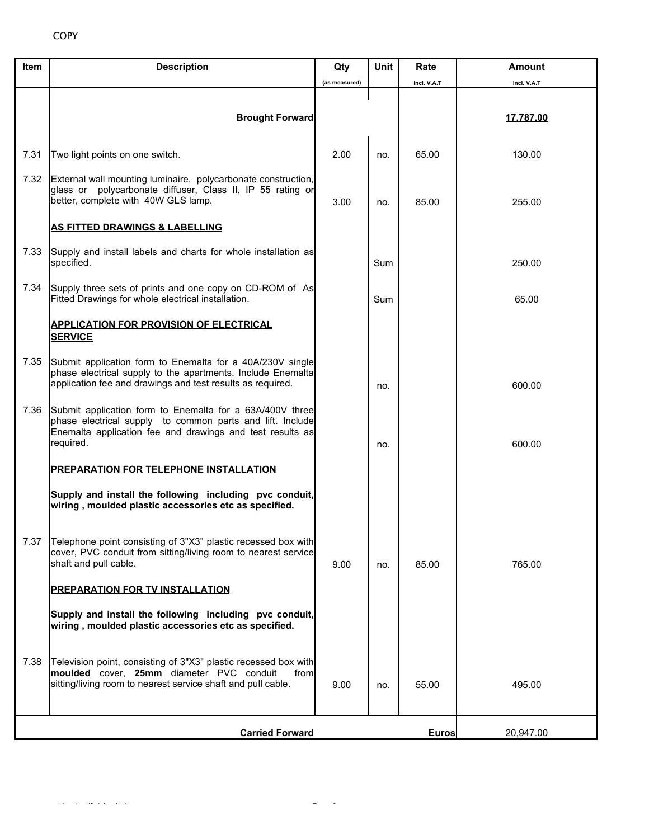| Item | <b>Description</b>                                                                                                                                                                              | Qty           | <b>Unit</b> | Rate        | <b>Amount</b> |
|------|-------------------------------------------------------------------------------------------------------------------------------------------------------------------------------------------------|---------------|-------------|-------------|---------------|
|      |                                                                                                                                                                                                 | (as measured) |             | incl. V.A.T | incl. V.A.T   |
|      | <b>Brought Forward</b>                                                                                                                                                                          |               |             |             | 17,787.00     |
| 7.31 | Two light points on one switch.                                                                                                                                                                 | 2.00          | no.         | 65.00       | 130.00        |
| 7.32 | External wall mounting luminaire, polycarbonate construction,<br>glass or polycarbonate diffuser, Class II, IP 55 rating or<br>better, complete with 40W GLS lamp.                              | 3.00          | no.         | 85.00       | 255.00        |
|      | <b>AS FITTED DRAWINGS &amp; LABELLING</b>                                                                                                                                                       |               |             |             |               |
| 7.33 | Supply and install labels and charts for whole installation as<br>specified.                                                                                                                    |               | <b>Sum</b>  |             | 250.00        |
| 7.34 | Supply three sets of prints and one copy on CD-ROM of As<br>Fitted Drawings for whole electrical installation.                                                                                  |               | Sum         |             | 65.00         |
|      | <b>APPLICATION FOR PROVISION OF ELECTRICAL</b><br><b>SERVICE</b>                                                                                                                                |               |             |             |               |
| 7.35 | Submit application form to Enemalta for a 40A/230V single<br>phase electrical supply to the apartments. Include Enemalta<br>application fee and drawings and test results as required.          |               | no.         |             | 600.00        |
| 7.36 | Submit application form to Enemalta for a 63A/400V three<br>phase electrical supply to common parts and lift. Include<br>Enemalta application fee and drawings and test results as<br>required. |               | no.         |             | 600.00        |
|      | PREPARATION FOR TELEPHONE INSTALLATION                                                                                                                                                          |               |             |             |               |
|      | Supply and install the following including pvc conduit,<br>wiring, moulded plastic accessories etc as specified.                                                                                |               |             |             |               |
| 7.37 | Telephone point consisting of 3"X3" plastic recessed box with<br>cover, PVC conduit from sitting/living room to nearest service<br>shaft and pull cable.                                        | 9.00          | no.         | 85.00       | 765.00        |
|      | <b>PREPARATION FOR TV INSTALLATION</b>                                                                                                                                                          |               |             |             |               |
|      | Supply and install the following including pvc conduit,<br>wiring, moulded plastic accessories etc as specified.                                                                                |               |             |             |               |
| 7.38 | Television point, consisting of 3"X3" plastic recessed box with<br>moulded cover, 25mm diameter PVC conduit<br>from<br>sitting/living room to nearest service shaft and pull cable.             | 9.00          | no.         | 55.00       | 495.00        |
|      | <b>Carried Forward</b>                                                                                                                                                                          |               |             | Euros       | 20,947.00     |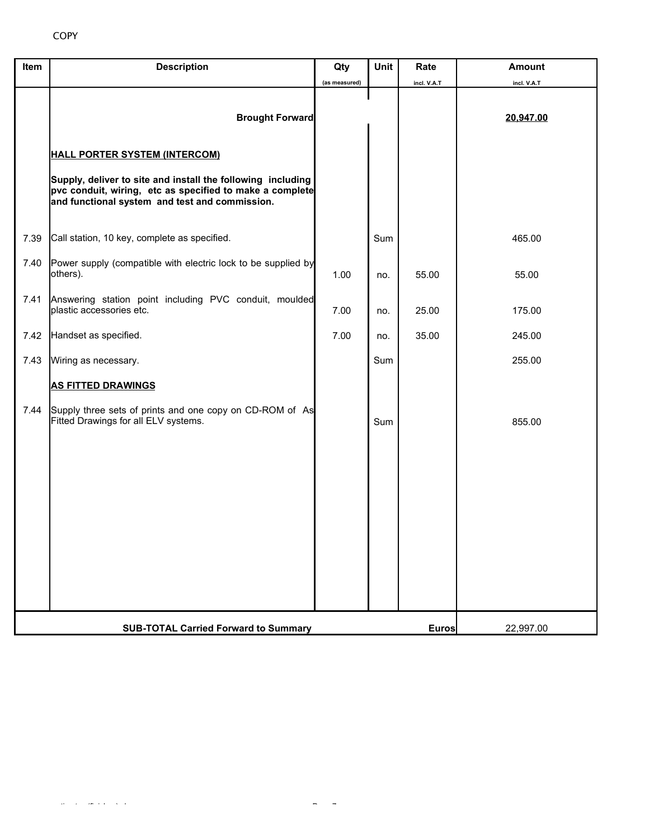| Item | <b>Description</b>                                                                                                                                                        | Qty                       | <b>Unit</b> | Rate        | <b>Amount</b> |
|------|---------------------------------------------------------------------------------------------------------------------------------------------------------------------------|---------------------------|-------------|-------------|---------------|
|      |                                                                                                                                                                           | (as measured)             |             | incl. V.A.T | incl. V.A.T   |
|      | <b>Brought Forward</b>                                                                                                                                                    |                           |             |             | 20,947.00     |
|      | <b>HALL PORTER SYSTEM (INTERCOM)</b>                                                                                                                                      |                           |             |             |               |
|      | Supply, deliver to site and install the following including<br>pvc conduit, wiring, etc as specified to make a complete<br>and functional system and test and commission. |                           |             |             |               |
| 7.39 | Call station, 10 key, complete as specified.                                                                                                                              |                           | Sum         |             | 465.00        |
| 7.40 | Power supply (compatible with electric lock to be supplied by<br>others).                                                                                                 | 1.00                      | no.         | 55.00       | 55.00         |
| 7.41 | Answering station point including PVC conduit, moulded<br>plastic accessories etc.                                                                                        | 7.00                      | no.         | 25.00       | 175.00        |
| 7.42 | Handset as specified.                                                                                                                                                     | 7.00                      | no.         | 35.00       | 245.00        |
| 7.43 | Wiring as necessary.                                                                                                                                                      |                           | Sum         |             | 255.00        |
|      | <b>AS FITTED DRAWINGS</b>                                                                                                                                                 |                           |             |             |               |
| 7.44 | Supply three sets of prints and one copy on CD-ROM of As<br>Fitted Drawings for all ELV systems.                                                                          |                           | Sum         |             | 855.00        |
|      |                                                                                                                                                                           |                           |             |             |               |
|      |                                                                                                                                                                           |                           |             |             |               |
|      |                                                                                                                                                                           |                           |             |             |               |
|      |                                                                                                                                                                           |                           |             |             |               |
|      |                                                                                                                                                                           |                           |             |             |               |
|      |                                                                                                                                                                           |                           |             |             |               |
|      | <b>SUB-TOTAL Carried Forward to Summary</b>                                                                                                                               | <b>Euros</b><br>22,997.00 |             |             |               |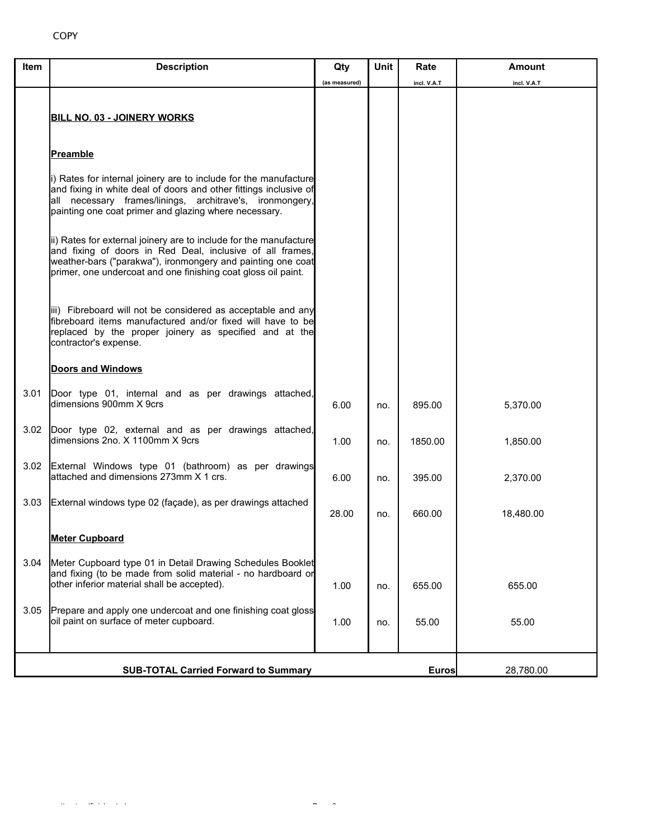| Item | <b>Description</b>                                                                                                                                                                                                                                             | Qty           | Unit | Rate         | Amount      |
|------|----------------------------------------------------------------------------------------------------------------------------------------------------------------------------------------------------------------------------------------------------------------|---------------|------|--------------|-------------|
|      |                                                                                                                                                                                                                                                                | (as measured) |      | incl. V.A.T  | incl. V.A.T |
|      | <b>BILL NO. 03 - JOINERY WORKS</b>                                                                                                                                                                                                                             |               |      |              |             |
|      | <b>Preamble</b>                                                                                                                                                                                                                                                |               |      |              |             |
|      | i) Rates for internal joinery are to include for the manufacture<br>and fixing in white deal of doors and other fittings inclusive of<br>all necessary frames/linings, architrave's, ironmongery,<br>painting one coat primer and glazing where necessary.     |               |      |              |             |
|      | ii) Rates for external joinery are to include for the manufacture<br>and fixing of doors in Red Deal, inclusive of all frames,<br>weather-bars ("parakwa"), ironmongery and painting one coat<br>primer, one undercoat and one finishing coat gloss oil paint. |               |      |              |             |
|      | iii) Fibreboard will not be considered as acceptable and any<br>fibreboard items manufactured and/or fixed will have to be<br>replaced by the proper joinery as specified and at the<br>contractor's expense.                                                  |               |      |              |             |
|      | <b>Doors and Windows</b>                                                                                                                                                                                                                                       |               |      |              |             |
| 3.01 | Door type 01, internal and as per drawings attached,<br>dimensions 900mm X 9crs                                                                                                                                                                                | 6.00          | no.  | 895.00       | 5,370.00    |
| 3.02 | Door type 02, external and as per drawings attached,<br>dimensions 2no. X 1100mm X 9crs                                                                                                                                                                        | 1.00          | no.  | 1850.00      | 1,850.00    |
| 3.02 | External Windows type 01 (bathroom) as per drawings<br>attached and dimensions 273mm X 1 crs.                                                                                                                                                                  | 6.00          | no.  | 395.00       | 2,370.00    |
| 3.03 | External windows type 02 (façade), as per drawings attached                                                                                                                                                                                                    | 28.00         | no.  | 660.00       | 18,480.00   |
|      | <b>Meter Cupboard</b>                                                                                                                                                                                                                                          |               |      |              |             |
| 3.04 | Meter Cupboard type 01 in Detail Drawing Schedules Booklet<br>and fixing (to be made from solid material - no hardboard or<br>other inferior material shall be accepted).                                                                                      | 1.00          | no.  | 655.00       | 655.00      |
| 3.05 | Prepare and apply one undercoat and one finishing coat gloss<br>oil paint on surface of meter cupboard.                                                                                                                                                        | 1.00          | no.  | 55.00        | 55.00       |
|      |                                                                                                                                                                                                                                                                |               |      |              |             |
|      | <b>SUB-TOTAL Carried Forward to Summary</b>                                                                                                                                                                                                                    |               |      | <b>Euros</b> | 28,780.00   |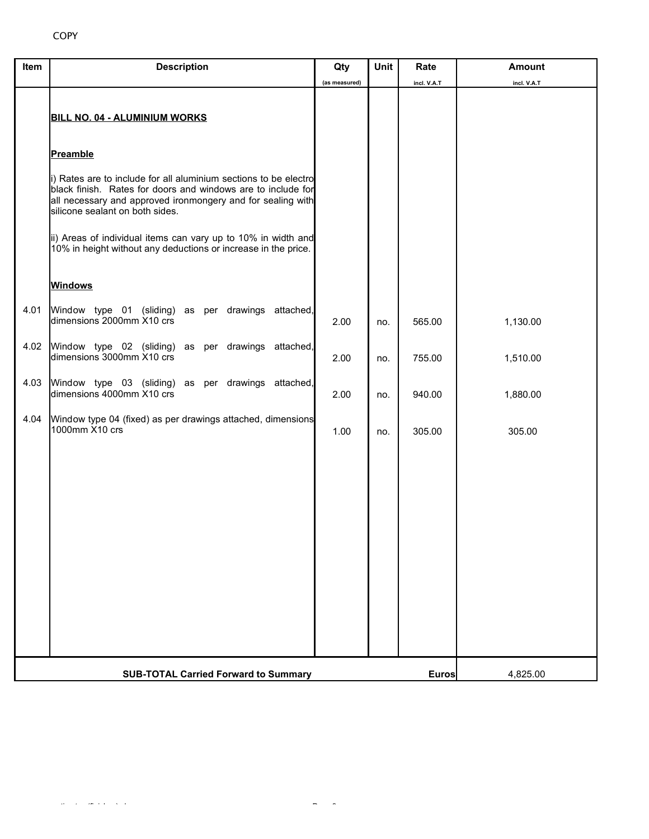| Item | <b>Description</b>                                                                                                                                                                                                                 | Qty           | Unit | Rate         | <b>Amount</b> |
|------|------------------------------------------------------------------------------------------------------------------------------------------------------------------------------------------------------------------------------------|---------------|------|--------------|---------------|
|      | <b>BILL NO. 04 - ALUMINIUM WORKS</b>                                                                                                                                                                                               | (as measured) |      | incl. V.A.T  | incl. V.A.T   |
|      | Preamble                                                                                                                                                                                                                           |               |      |              |               |
|      | i) Rates are to include for all aluminium sections to be electro<br>black finish. Rates for doors and windows are to include for<br>all necessary and approved ironmongery and for sealing with<br>silicone sealant on both sides. |               |      |              |               |
|      | ii) Areas of individual items can vary up to 10% in width and<br>10% in height without any deductions or increase in the price.                                                                                                    |               |      |              |               |
|      | <b>Windows</b>                                                                                                                                                                                                                     |               |      |              |               |
| 4.01 | Window type 01 (sliding) as per drawings attached,<br>dimensions 2000mm X10 crs                                                                                                                                                    | 2.00          | no.  | 565.00       | 1,130.00      |
| 4.02 | Window type 02 (sliding) as per drawings attached,<br>dimensions 3000mm X10 crs                                                                                                                                                    | 2.00          | no.  | 755.00       | 1,510.00      |
| 4.03 | Window type 03 (sliding) as per drawings attached,<br>dimensions 4000mm X10 crs                                                                                                                                                    | 2.00          | no.  | 940.00       | 1,880.00      |
| 4.04 | Window type 04 (fixed) as per drawings attached, dimensions<br>1000mm X10 crs                                                                                                                                                      | 1.00          | no.  | 305.00       | 305.00        |
|      |                                                                                                                                                                                                                                    |               |      |              |               |
|      |                                                                                                                                                                                                                                    |               |      |              |               |
|      |                                                                                                                                                                                                                                    |               |      |              |               |
|      |                                                                                                                                                                                                                                    |               |      |              |               |
|      |                                                                                                                                                                                                                                    |               |      |              |               |
|      |                                                                                                                                                                                                                                    |               |      |              |               |
|      | <b>SUB-TOTAL Carried Forward to Summary</b>                                                                                                                                                                                        |               |      | <b>Euros</b> | 4,825.00      |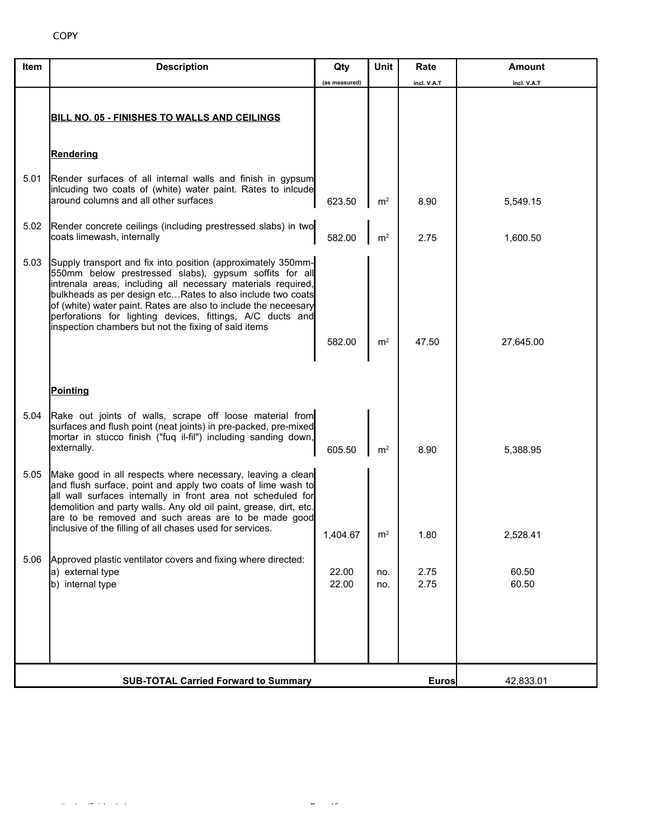| Item | <b>Description</b>                                                                                                                                                                                                                                                                                                                                                                                                                            | Qty            | Unit           | Rate         | Amount         |  |  |
|------|-----------------------------------------------------------------------------------------------------------------------------------------------------------------------------------------------------------------------------------------------------------------------------------------------------------------------------------------------------------------------------------------------------------------------------------------------|----------------|----------------|--------------|----------------|--|--|
|      |                                                                                                                                                                                                                                                                                                                                                                                                                                               | (as measured)  |                | incl. V.A.T  | incl. V.A.T    |  |  |
|      | <b>BILL NO. 05 - FINISHES TO WALLS AND CEILINGS</b>                                                                                                                                                                                                                                                                                                                                                                                           |                |                |              |                |  |  |
|      | <b>Rendering</b>                                                                                                                                                                                                                                                                                                                                                                                                                              |                |                |              |                |  |  |
| 5.01 | Render surfaces of all internal walls and finish in gypsum<br>inlcuding two coats of (white) water paint. Rates to inlcude<br>around columns and all other surfaces                                                                                                                                                                                                                                                                           | 623.50         | m <sup>2</sup> | 8.90         | 5,549.15       |  |  |
| 5.02 | Render concrete ceilings (including prestressed slabs) in two<br>coats limewash, internally                                                                                                                                                                                                                                                                                                                                                   | 582.00         | m <sup>2</sup> | 2.75         | 1,600.50       |  |  |
| 5.03 | Supply transport and fix into position (approximately 350mm-<br>550mm below prestressed slabs), gypsum soffits for all<br>intrenala areas, including all necessary materials required,<br>bulkheads as per design etcRates to also include two coats<br>of (white) water paint. Rates are also to include the neceesary<br>perforations for lighting devices, fittings, A/C ducts and<br>inspection chambers but not the fixing of said items | 582.00         | m <sup>2</sup> | 47.50        | 27,645.00      |  |  |
|      | <b>Pointing</b>                                                                                                                                                                                                                                                                                                                                                                                                                               |                |                |              |                |  |  |
| 5.04 | Rake out joints of walls, scrape off loose material from<br>surfaces and flush point (neat joints) in pre-packed, pre-mixed<br>mortar in stucco finish ("fuq il-fil") including sanding down,<br>externally.                                                                                                                                                                                                                                  | 605.50         | m <sup>2</sup> | 8.90         | 5,388.95       |  |  |
| 5.05 | Make good in all respects where necessary, leaving a clean<br>and flush surface, point and apply two coats of lime wash to<br>all wall surfaces internally in front area not scheduled for<br>demolition and party walls. Any old oil paint, grease, dirt, etc.<br>are to be removed and such areas are to be made good<br>inclusive of the filling of all chases used for services.                                                          | 1,404.67       | m <sup>2</sup> | 1.80         | 2,528.41       |  |  |
| 5.06 | Approved plastic ventilator covers and fixing where directed:<br>a) external type<br>b) internal type                                                                                                                                                                                                                                                                                                                                         | 22.00<br>22.00 | no.<br>no.     | 2.75<br>2.75 | 60.50<br>60.50 |  |  |
|      |                                                                                                                                                                                                                                                                                                                                                                                                                                               |                |                |              |                |  |  |
|      | <b>SUB-TOTAL Carried Forward to Summary</b><br>42,833.01<br>Euros                                                                                                                                                                                                                                                                                                                                                                             |                |                |              |                |  |  |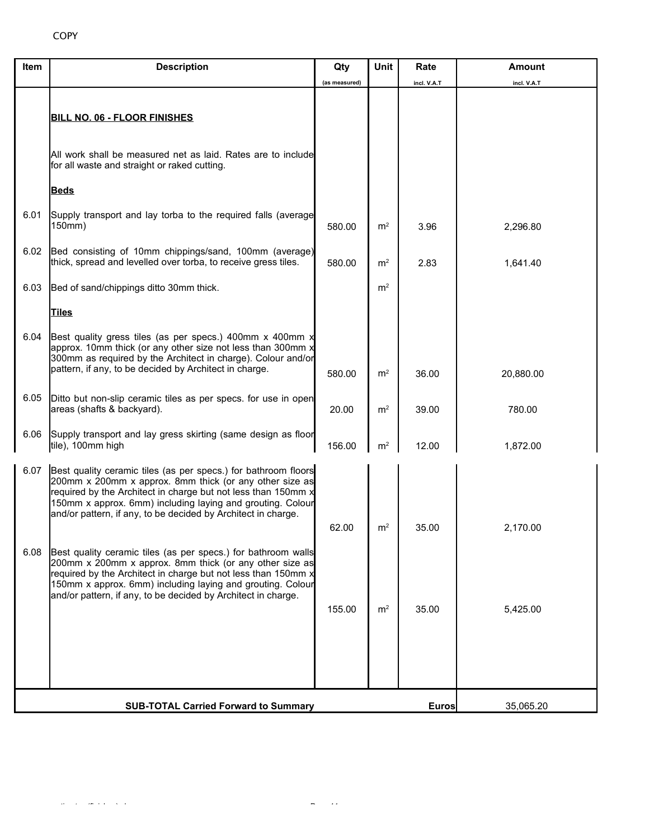| Item | <b>Description</b>                                                                                                                                                                                                                                                                                                        | Qty           | Unit           | Rate        | Amount      |
|------|---------------------------------------------------------------------------------------------------------------------------------------------------------------------------------------------------------------------------------------------------------------------------------------------------------------------------|---------------|----------------|-------------|-------------|
|      |                                                                                                                                                                                                                                                                                                                           | (as measured) |                | incl. V.A.T | incl. V.A.T |
|      | <b>BILL NO. 06 - FLOOR FINISHES</b>                                                                                                                                                                                                                                                                                       |               |                |             |             |
|      | All work shall be measured net as laid. Rates are to include<br>for all waste and straight or raked cutting.                                                                                                                                                                                                              |               |                |             |             |
|      | <b>Beds</b>                                                                                                                                                                                                                                                                                                               |               |                |             |             |
| 6.01 | Supply transport and lay torba to the required falls (average<br>150mm)                                                                                                                                                                                                                                                   | 580.00        | m <sup>2</sup> | 3.96        | 2,296.80    |
| 6.02 | Bed consisting of 10mm chippings/sand, 100mm (average)<br>thick, spread and levelled over torba, to receive gress tiles.                                                                                                                                                                                                  | 580.00        | m <sup>2</sup> | 2.83        | 1,641.40    |
| 6.03 | Bed of sand/chippings ditto 30mm thick.                                                                                                                                                                                                                                                                                   |               | m <sup>2</sup> |             |             |
|      | <b>Tiles</b>                                                                                                                                                                                                                                                                                                              |               |                |             |             |
| 6.04 | Best quality gress tiles (as per specs.) 400mm x 400mm x<br>approx. 10mm thick (or any other size not less than 300mm x<br>300mm as required by the Architect in charge). Colour and/or<br>pattern, if any, to be decided by Architect in charge.                                                                         | 580.00        | m <sup>2</sup> | 36.00       | 20,880.00   |
| 6.05 | Ditto but non-slip ceramic tiles as per specs. for use in open<br>areas (shafts & backyard).                                                                                                                                                                                                                              | 20.00         | m <sup>2</sup> | 39.00       | 780.00      |
| 6.06 | Supply transport and lay gress skirting (same design as floor<br>tile), 100mm high                                                                                                                                                                                                                                        | 156.00        | m <sup>2</sup> | 12.00       | 1,872.00    |
| 6.07 | Best quality ceramic tiles (as per specs.) for bathroom floors<br>200mm x 200mm x approx. 8mm thick (or any other size as<br>required by the Architect in charge but not less than 150mm x<br>150mm x approx. 6mm) including laying and grouting. Colour<br>and/or pattern, if any, to be decided by Architect in charge. |               |                |             |             |
|      |                                                                                                                                                                                                                                                                                                                           | 62.00         | m <sup>2</sup> | 35.00       | 2,170.00    |
| 6.08 | Best quality ceramic tiles (as per specs.) for bathroom walls<br>200mm x 200mm x approx. 8mm thick (or any other size as<br>required by the Architect in charge but not less than 150mm x<br>150mm x approx. 6mm) including laying and grouting. Colour<br>and/or pattern, if any, to be decided by Architect in charge.  |               |                |             |             |
|      |                                                                                                                                                                                                                                                                                                                           | 155.00        | m <sup>2</sup> | 35.00       | 5,425.00    |
|      |                                                                                                                                                                                                                                                                                                                           |               |                |             |             |
|      |                                                                                                                                                                                                                                                                                                                           |               |                |             |             |
|      |                                                                                                                                                                                                                                                                                                                           |               |                |             |             |
|      | <b>SUB-TOTAL Carried Forward to Summary</b>                                                                                                                                                                                                                                                                               |               |                | Euros       | 35,065.20   |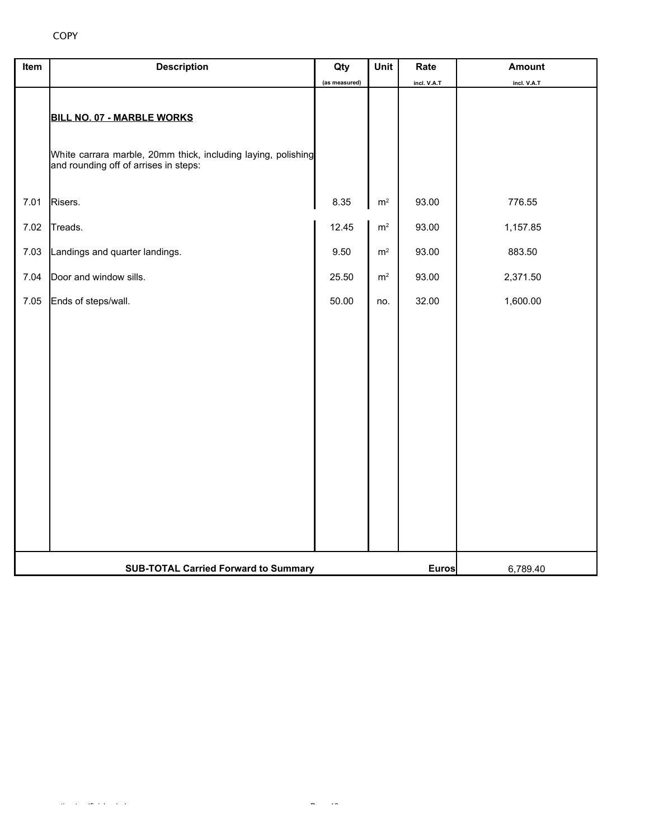## COPY

| Item | <b>Description</b>                                                                                                                   | Qty           | Unit           | Rate         | <b>Amount</b> |
|------|--------------------------------------------------------------------------------------------------------------------------------------|---------------|----------------|--------------|---------------|
|      |                                                                                                                                      | (as measured) |                | incl. V.A.T  | incl. V.A.T   |
|      | BILL NO. 07 - MARBLE WORKS<br>White carrara marble, 20mm thick, including laying, polishing<br>and rounding off of arrises in steps: |               |                |              |               |
| 7.01 | Risers.                                                                                                                              | 8.35          | $\mathsf{m}^2$ | 93.00        | 776.55        |
| 7.02 | Treads.                                                                                                                              | 12.45         | $\mathsf{m}^2$ | 93.00        | 1,157.85      |
| 7.03 | Landings and quarter landings.                                                                                                       | 9.50          | m <sup>2</sup> | 93.00        | 883.50        |
| 7.04 | Door and window sills.                                                                                                               | 25.50         | m <sup>2</sup> | 93.00        | 2,371.50      |
| 7.05 | Ends of steps/wall.                                                                                                                  | 50.00         | no.            | 32.00        | 1,600.00      |
|      |                                                                                                                                      |               |                |              |               |
|      | <b>SUB-TOTAL Carried Forward to Summary</b>                                                                                          |               |                | <b>Euros</b> | 6,789.40      |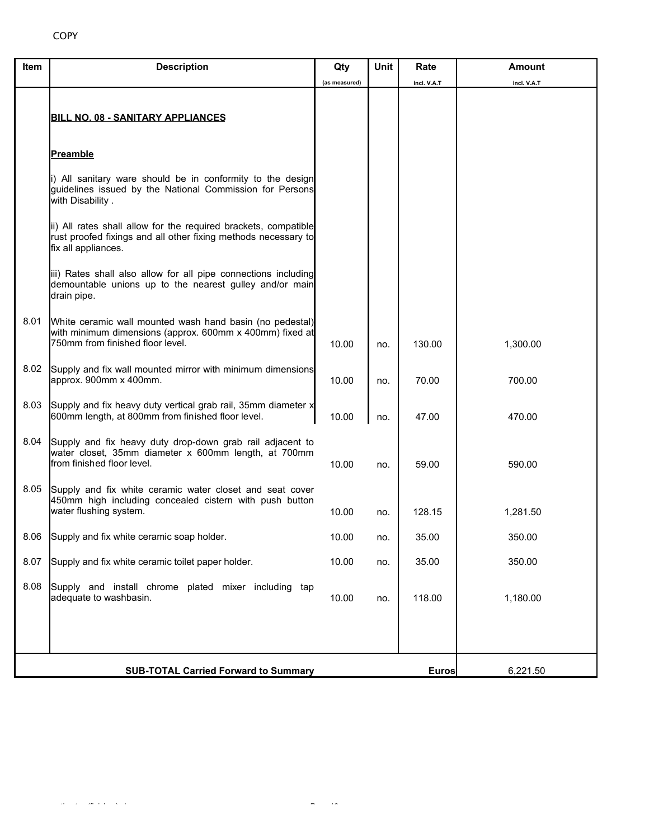| Item | <b>Description</b>                                                                                                                                       | Qty           | <b>Unit</b> | Rate        | Amount      |
|------|----------------------------------------------------------------------------------------------------------------------------------------------------------|---------------|-------------|-------------|-------------|
|      |                                                                                                                                                          | (as measured) |             | incl. V.A.T | incl. V.A.T |
|      | <b>BILL NO. 08 - SANITARY APPLIANCES</b>                                                                                                                 |               |             |             |             |
|      | <b>Preamble</b>                                                                                                                                          |               |             |             |             |
|      | i) All sanitary ware should be in conformity to the design<br>guidelines issued by the National Commission for Persons<br>with Disability.               |               |             |             |             |
|      | ii) All rates shall allow for the required brackets, compatible<br>rust proofed fixings and all other fixing methods necessary to<br>fix all appliances. |               |             |             |             |
|      | iii) Rates shall also allow for all pipe connections including<br>demountable unions up to the nearest gulley and/or main<br>drain pipe.                 |               |             |             |             |
| 8.01 | White ceramic wall mounted wash hand basin (no pedestal)<br>with minimum dimensions (approx. 600mm x 400mm) fixed at<br>750mm from finished floor level. | 10.00         | no.         | 130.00      | 1,300.00    |
| 8.02 | Supply and fix wall mounted mirror with minimum dimensions<br>approx. 900mm x 400mm.                                                                     | 10.00         | no.         | 70.00       | 700.00      |
| 8.03 | Supply and fix heavy duty vertical grab rail, 35mm diameter x<br>600mm length, at 800mm from finished floor level.                                       | 10.00         | no.         | 47.00       | 470.00      |
| 8.04 | Supply and fix heavy duty drop-down grab rail adjacent to<br>water closet, 35mm diameter x 600mm length, at 700mm<br>from finished floor level.          | 10.00         | no.         | 59.00       | 590.00      |
| 8.05 | Supply and fix white ceramic water closet and seat cover<br>450mm high including concealed cistern with push button<br>water flushing system.            | 10.00         | no.         | 128.15      | 1,281.50    |
| 8.06 | Supply and fix white ceramic soap holder.                                                                                                                | 10.00         | no.         | 35.00       | 350.00      |
| 8.07 | Supply and fix white ceramic toilet paper holder.                                                                                                        | 10.00         | no.         | 35.00       | 350.00      |
| 8.08 | Supply and install chrome plated mixer including tap<br>adequate to washbasin.                                                                           | 10.00         | no.         | 118.00      | 1,180.00    |
|      |                                                                                                                                                          |               |             |             |             |
|      | <b>SUB-TOTAL Carried Forward to Summary</b>                                                                                                              | <b>Euros</b>  | 6,221.50    |             |             |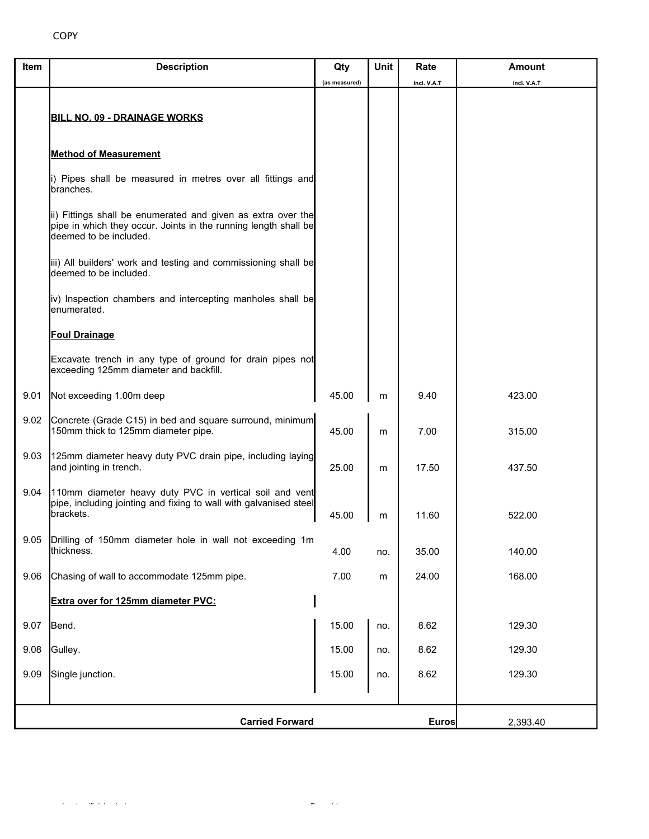| Item | <b>Description</b>                                                                                                                                        | Qty           | Unit | Rate         | <b>Amount</b> |
|------|-----------------------------------------------------------------------------------------------------------------------------------------------------------|---------------|------|--------------|---------------|
|      |                                                                                                                                                           | (as measured) |      | incl. V.A.T  | incl. V.A.T   |
|      | <b>BILL NO. 09 - DRAINAGE WORKS</b>                                                                                                                       |               |      |              |               |
|      |                                                                                                                                                           |               |      |              |               |
|      | <b>Method of Measurement</b>                                                                                                                              |               |      |              |               |
|      | i) Pipes shall be measured in metres over all fittings and<br>branches.                                                                                   |               |      |              |               |
|      | ii) Fittings shall be enumerated and given as extra over the<br>pipe in which they occur. Joints in the running length shall be<br>deemed to be included. |               |      |              |               |
|      | iii) All builders' work and testing and commissioning shall be<br>deemed to be included.                                                                  |               |      |              |               |
|      | iv) Inspection chambers and intercepting manholes shall be<br>enumerated.                                                                                 |               |      |              |               |
|      | <b>Foul Drainage</b>                                                                                                                                      |               |      |              |               |
|      | Excavate trench in any type of ground for drain pipes not<br>exceeding 125mm diameter and backfill.                                                       |               |      |              |               |
| 9.01 | Not exceeding 1.00m deep                                                                                                                                  | 45.00         | m    | 9.40         | 423.00        |
| 9.02 | Concrete (Grade C15) in bed and square surround, minimum<br>150mm thick to 125mm diameter pipe.                                                           | 45.00         | m    | 7.00         | 315.00        |
| 9.03 | 125mm diameter heavy duty PVC drain pipe, including laying<br>and jointing in trench.                                                                     | 25.00         | m    | 17.50        | 437.50        |
| 9.04 | 110mm diameter heavy duty PVC in vertical soil and vent<br>pipe, including jointing and fixing to wall with galvanised steel<br>brackets.                 | 45.00         | m    | 11.60        | 522.00        |
| 9.05 | Drilling of 150mm diameter hole in wall not exceeding 1m<br>thickness.                                                                                    | 4.00          | no.  | 35.00        | 140.00        |
| 9.06 | Chasing of wall to accommodate 125mm pipe.                                                                                                                | 7.00          | m    | 24.00        | 168.00        |
|      | Extra over for 125mm diameter PVC:                                                                                                                        |               |      |              |               |
| 9.07 | Bend.                                                                                                                                                     | 15.00         | no.  | 8.62         | 129.30        |
| 9.08 | Gulley.                                                                                                                                                   | 15.00         | no.  | 8.62         | 129.30        |
| 9.09 | Single junction.                                                                                                                                          | 15.00         | no.  | 8.62         | 129.30        |
|      |                                                                                                                                                           |               |      |              |               |
|      | <b>Carried Forward</b>                                                                                                                                    |               |      | <b>Euros</b> | 2,393.40      |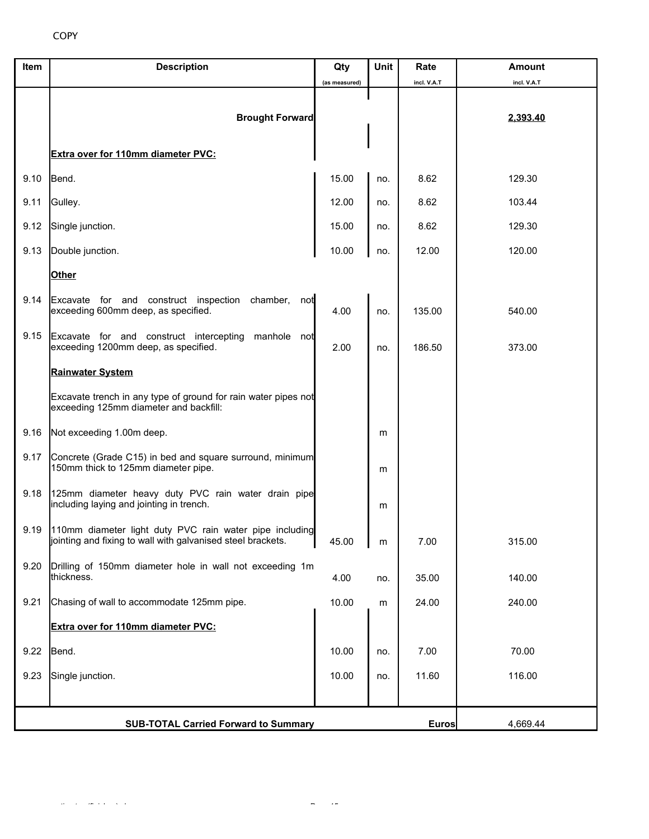| Item | <b>Description</b>                                                                                                          | Qty               | Unit | Rate        | <b>Amount</b> |
|------|-----------------------------------------------------------------------------------------------------------------------------|-------------------|------|-------------|---------------|
|      |                                                                                                                             | (as measured)     |      | incl. V.A.T | incl. V.A.T   |
|      | <b>Brought Forward</b>                                                                                                      |                   |      |             | 2,393.40      |
|      | Extra over for 110mm diameter PVC:                                                                                          |                   |      |             |               |
| 9.10 | Bend.                                                                                                                       | 15.00             | no.  | 8.62        | 129.30        |
| 9.11 | Gulley.                                                                                                                     | 12.00             | no.  | 8.62        | 103.44        |
| 9.12 | Single junction.                                                                                                            | 15.00             | no.  | 8.62        | 129.30        |
| 9.13 | Double junction.                                                                                                            | 10.00             | no.  | 12.00       | 120.00        |
|      | <b>Other</b>                                                                                                                |                   |      |             |               |
| 9.14 | Excavate for and construct inspection chamber,<br>not<br>exceeding 600mm deep, as specified.                                | 4.00              | no.  | 135.00      | 540.00        |
| 9.15 | Excavate for and construct intercepting manhole not<br>exceeding 1200mm deep, as specified.                                 | 2.00              | no.  | 186.50      | 373.00        |
|      | <b>Rainwater System</b>                                                                                                     |                   |      |             |               |
|      | Excavate trench in any type of ground for rain water pipes not<br>exceeding 125mm diameter and backfill:                    |                   |      |             |               |
| 9.16 | Not exceeding 1.00m deep.                                                                                                   |                   | m    |             |               |
| 9.17 | Concrete (Grade C15) in bed and square surround, minimum<br>150mm thick to 125mm diameter pipe.                             |                   | m    |             |               |
| 9.18 | 125mm diameter heavy duty PVC rain water drain pipe<br>including laying and jointing in trench.                             |                   | m    |             |               |
|      | 9.19 110mm diameter light duty PVC rain water pipe including<br>jointing and fixing to wall with galvanised steel brackets. | 45.00             | m    | 7.00        | 315.00        |
| 9.20 | Drilling of 150mm diameter hole in wall not exceeding 1m<br>thickness.                                                      | 4.00              | no.  | 35.00       | 140.00        |
| 9.21 | Chasing of wall to accommodate 125mm pipe.                                                                                  | 10.00             | m    | 24.00       | 240.00        |
|      | Extra over for 110mm diameter PVC:                                                                                          |                   |      |             |               |
| 9.22 | Bend.                                                                                                                       | 10.00             | no.  | 7.00        | 70.00         |
| 9.23 | Single junction.                                                                                                            | 10.00             | no.  | 11.60       | 116.00        |
|      |                                                                                                                             |                   |      |             |               |
|      | <b>SUB-TOTAL Carried Forward to Summary</b>                                                                                 | Euros<br>4,669.44 |      |             |               |